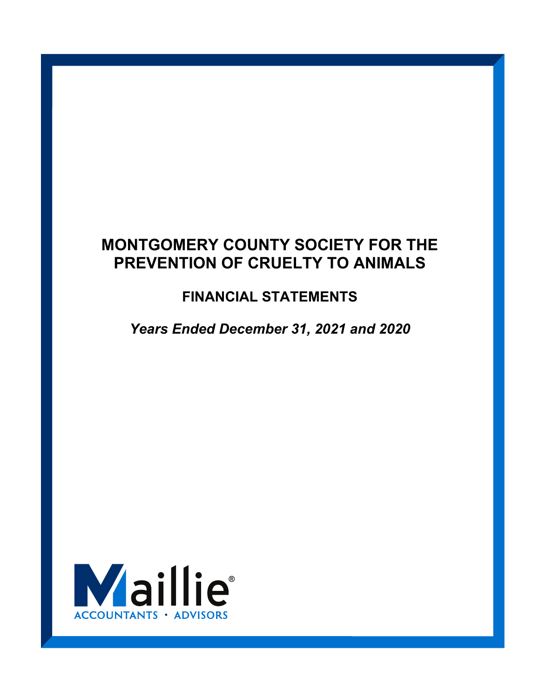# **FINANCIAL STATEMENTS**

*Years Ended December 31, 2021 and 2020* 

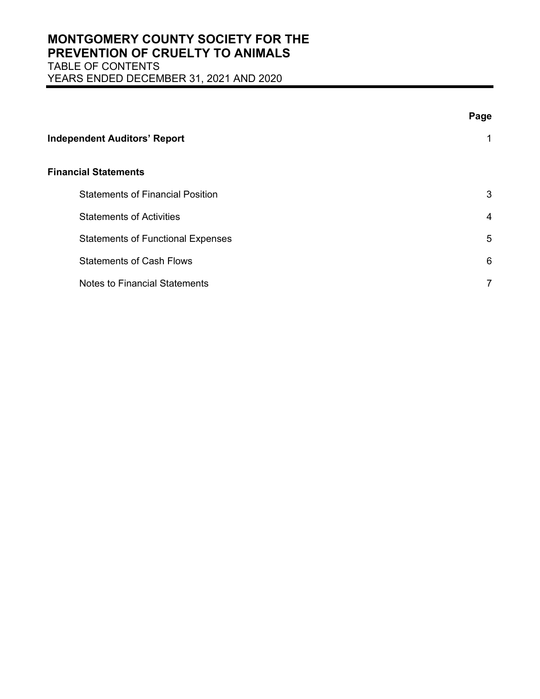## **MONTGOMERY COUNTY SOCIETY FOR THE PREVENTION OF CRUELTY TO ANIMALS**  TABLE OF CONTENTS

YEARS ENDED DECEMBER 31, 2021 AND 2020

|                                          | Page           |
|------------------------------------------|----------------|
| <b>Independent Auditors' Report</b>      | 1              |
| <b>Financial Statements</b>              |                |
| <b>Statements of Financial Position</b>  | 3              |
| <b>Statements of Activities</b>          | 4              |
| <b>Statements of Functional Expenses</b> | 5              |
| <b>Statements of Cash Flows</b>          | 6              |
| <b>Notes to Financial Statements</b>     | $\overline{7}$ |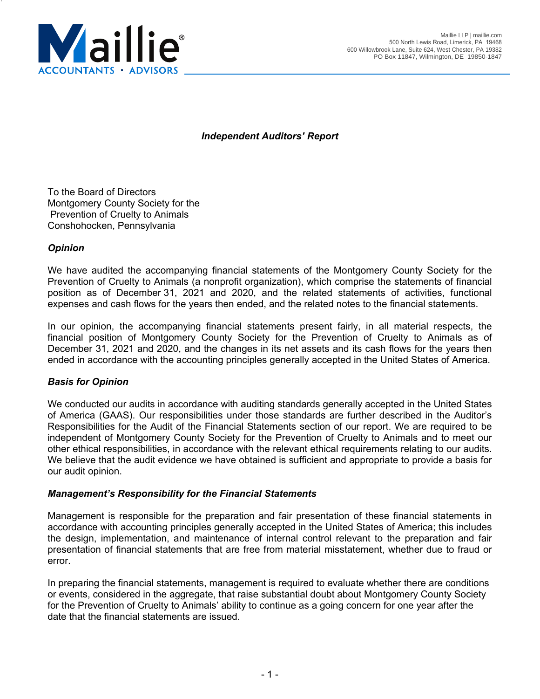

*Independent Auditors' Report* 

To the Board of Directors Montgomery County Society for the Prevention of Cruelty to Animals Conshohocken, Pennsylvania

## *Opinion*

We have audited the accompanying financial statements of the Montgomery County Society for the Prevention of Cruelty to Animals (a nonprofit organization), which comprise the statements of financial position as of December 31, 2021 and 2020, and the related statements of activities, functional expenses and cash flows for the years then ended, and the related notes to the financial statements.

In our opinion, the accompanying financial statements present fairly, in all material respects, the financial position of Montgomery County Society for the Prevention of Cruelty to Animals as of December 31, 2021 and 2020, and the changes in its net assets and its cash flows for the years then ended in accordance with the accounting principles generally accepted in the United States of America.

## *Basis for Opinion*

We conducted our audits in accordance with auditing standards generally accepted in the United States of America (GAAS). Our responsibilities under those standards are further described in the Auditor's Responsibilities for the Audit of the Financial Statements section of our report. We are required to be independent of Montgomery County Society for the Prevention of Cruelty to Animals and to meet our other ethical responsibilities, in accordance with the relevant ethical requirements relating to our audits. We believe that the audit evidence we have obtained is sufficient and appropriate to provide a basis for our audit opinion.

## *Management's Responsibility for the Financial Statements*

Management is responsible for the preparation and fair presentation of these financial statements in accordance with accounting principles generally accepted in the United States of America; this includes the design, implementation, and maintenance of internal control relevant to the preparation and fair presentation of financial statements that are free from material misstatement, whether due to fraud or error.

In preparing the financial statements, management is required to evaluate whether there are conditions or events, considered in the aggregate, that raise substantial doubt about Montgomery County Society for the Prevention of Cruelty to Animals' ability to continue as a going concern for one year after the date that the financial statements are issued.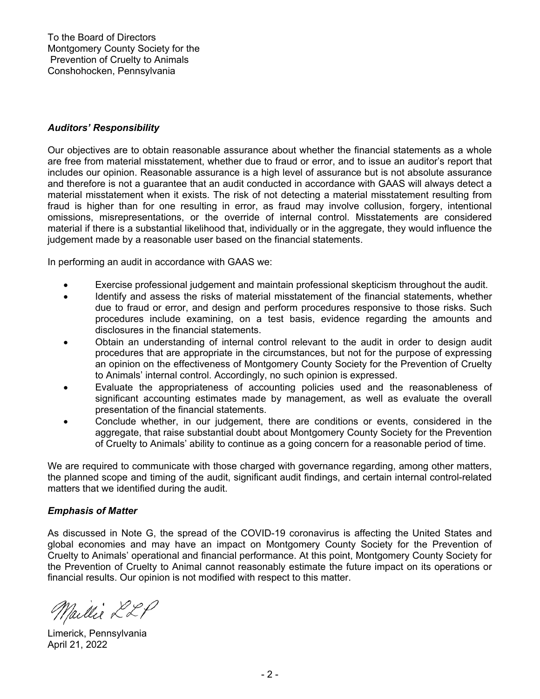## *Auditors' Responsibility*

Our objectives are to obtain reasonable assurance about whether the financial statements as a whole are free from material misstatement, whether due to fraud or error, and to issue an auditor's report that includes our opinion. Reasonable assurance is a high level of assurance but is not absolute assurance and therefore is not a guarantee that an audit conducted in accordance with GAAS will always detect a material misstatement when it exists. The risk of not detecting a material misstatement resulting from fraud is higher than for one resulting in error, as fraud may involve collusion, forgery, intentional omissions, misrepresentations, or the override of internal control. Misstatements are considered material if there is a substantial likelihood that, individually or in the aggregate, they would influence the judgement made by a reasonable user based on the financial statements.

In performing an audit in accordance with GAAS we:

- Exercise professional judgement and maintain professional skepticism throughout the audit.
- Identify and assess the risks of material misstatement of the financial statements, whether due to fraud or error, and design and perform procedures responsive to those risks. Such procedures include examining, on a test basis, evidence regarding the amounts and disclosures in the financial statements.
- Obtain an understanding of internal control relevant to the audit in order to design audit procedures that are appropriate in the circumstances, but not for the purpose of expressing an opinion on the effectiveness of Montgomery County Society for the Prevention of Cruelty to Animals' internal control. Accordingly, no such opinion is expressed.
- Evaluate the appropriateness of accounting policies used and the reasonableness of significant accounting estimates made by management, as well as evaluate the overall presentation of the financial statements.
- Conclude whether, in our judgement, there are conditions or events, considered in the aggregate, that raise substantial doubt about Montgomery County Society for the Prevention of Cruelty to Animals' ability to continue as a going concern for a reasonable period of time.

We are required to communicate with those charged with governance regarding, among other matters, the planned scope and timing of the audit, significant audit findings, and certain internal control-related matters that we identified during the audit.

### *Emphasis of Matter*

As discussed in Note G, the spread of the COVID-19 coronavirus is affecting the United States and global economies and may have an impact on Montgomery County Society for the Prevention of Cruelty to Animals' operational and financial performance. At this point, Montgomery County Society for the Prevention of Cruelty to Animal cannot reasonably estimate the future impact on its operations or financial results. Our opinion is not modified with respect to this matter.

Maillie LLP

Limerick, Pennsylvania April 21, 2022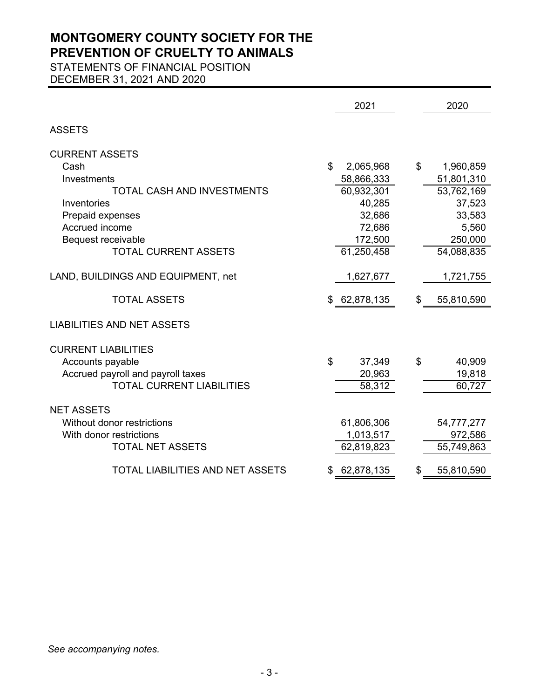STATEMENTS OF FINANCIAL POSITION

DECEMBER 31, 2021 AND 2020

|                                         | 2021            | 2020             |
|-----------------------------------------|-----------------|------------------|
| <b>ASSETS</b>                           |                 |                  |
| <b>CURRENT ASSETS</b>                   |                 |                  |
| Cash                                    | \$<br>2,065,968 | \$<br>1,960,859  |
| Investments                             | 58,866,333      | 51,801,310       |
| <b>TOTAL CASH AND INVESTMENTS</b>       | 60,932,301      | 53,762,169       |
| Inventories                             | 40,285          | 37,523           |
| Prepaid expenses                        | 32,686          | 33,583           |
| Accrued income                          | 72,686          | 5,560            |
| Bequest receivable                      | 172,500         | 250,000          |
| <b>TOTAL CURRENT ASSETS</b>             | 61,250,458      | 54,088,835       |
|                                         |                 |                  |
| LAND, BUILDINGS AND EQUIPMENT, net      | 1,627,677       | 1,721,755        |
| <b>TOTAL ASSETS</b>                     | \$ 62,878,135   | \$<br>55,810,590 |
| <b>LIABILITIES AND NET ASSETS</b>       |                 |                  |
|                                         |                 |                  |
| <b>CURRENT LIABILITIES</b>              |                 |                  |
| Accounts payable                        | \$<br>37,349    | \$<br>40,909     |
| Accrued payroll and payroll taxes       | 20,963          | 19,818           |
| <b>TOTAL CURRENT LIABILITIES</b>        | 58,312          | 60,727           |
|                                         |                 |                  |
| <b>NET ASSETS</b>                       |                 |                  |
| Without donor restrictions              | 61,806,306      | 54,777,277       |
| With donor restrictions                 | 1,013,517       | 972,586          |
| <b>TOTAL NET ASSETS</b>                 | 62,819,823      | 55,749,863       |
| <b>TOTAL LIABILITIES AND NET ASSETS</b> | 62,878,135      | \$<br>55,810,590 |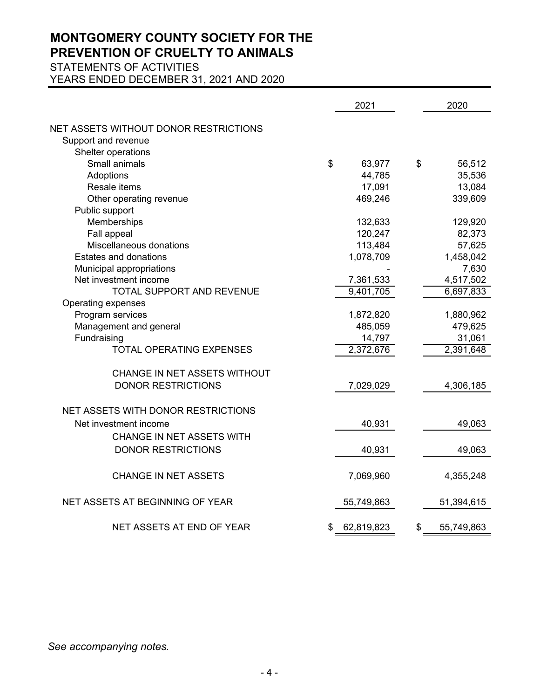STATEMENTS OF ACTIVITIES

YEARS ENDED DECEMBER 31, 2021 AND 2020

|                                       | 2021             | 2020             |
|---------------------------------------|------------------|------------------|
| NET ASSETS WITHOUT DONOR RESTRICTIONS |                  |                  |
| Support and revenue                   |                  |                  |
| Shelter operations                    |                  |                  |
| Small animals                         | \$<br>63,977     | \$<br>56,512     |
| Adoptions                             | 44,785           | 35,536           |
| Resale items                          | 17,091           | 13,084           |
| Other operating revenue               | 469,246          | 339,609          |
| Public support                        |                  |                  |
| Memberships                           | 132,633          | 129,920          |
| Fall appeal                           | 120,247          | 82,373           |
| Miscellaneous donations               | 113,484          | 57,625           |
| <b>Estates and donations</b>          | 1,078,709        | 1,458,042        |
| Municipal appropriations              |                  | 7,630            |
| Net investment income                 | 7,361,533        | 4,517,502        |
| TOTAL SUPPORT AND REVENUE             | 9,401,705        | 6,697,833        |
| Operating expenses                    |                  |                  |
| Program services                      | 1,872,820        | 1,880,962        |
| Management and general                | 485,059          | 479,625          |
| Fundraising                           | 14,797           | 31,061           |
| <b>TOTAL OPERATING EXPENSES</b>       | 2,372,676        | 2,391,648        |
| CHANGE IN NET ASSETS WITHOUT          |                  |                  |
| <b>DONOR RESTRICTIONS</b>             | 7,029,029        | 4,306,185        |
| NET ASSETS WITH DONOR RESTRICTIONS    |                  |                  |
|                                       |                  |                  |
| Net investment income                 | 40,931           | 49,063           |
| CHANGE IN NET ASSETS WITH             |                  |                  |
| <b>DONOR RESTRICTIONS</b>             | 40,931           | 49,063           |
| <b>CHANGE IN NET ASSETS</b>           | 7,069,960        | 4,355,248        |
| NET ASSETS AT BEGINNING OF YEAR       | 55,749,863       | 51,394,615       |
| NET ASSETS AT END OF YEAR             | \$<br>62,819,823 | \$<br>55,749,863 |

*See accompanying notes.*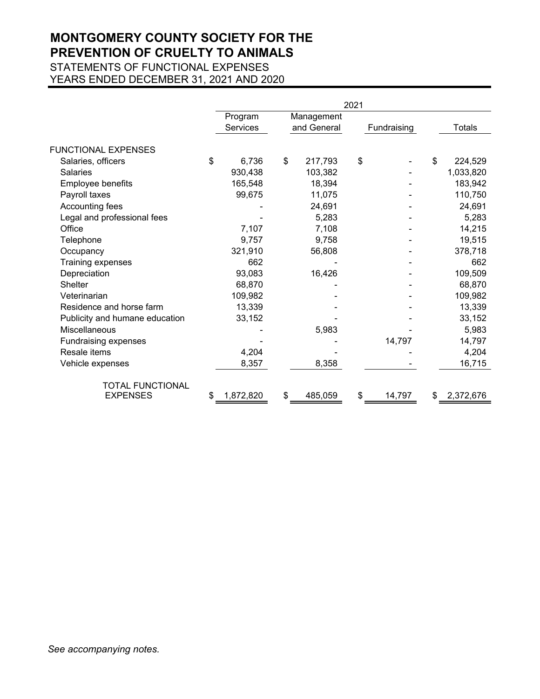STATEMENTS OF FUNCTIONAL EXPENSES YEARS ENDED DECEMBER 31, 2021 AND 2020

|                                | 2021 |           |    |             |    |             |    |               |
|--------------------------------|------|-----------|----|-------------|----|-------------|----|---------------|
|                                |      | Program   |    | Management  |    |             |    |               |
|                                |      | Services  |    | and General |    | Fundraising |    | <b>Totals</b> |
| <b>FUNCTIONAL EXPENSES</b>     |      |           |    |             |    |             |    |               |
| Salaries, officers             | \$   | 6,736     | \$ | 217,793     | \$ |             | \$ | 224,529       |
| <b>Salaries</b>                |      | 930,438   |    | 103,382     |    |             |    | 1,033,820     |
| Employee benefits              |      | 165,548   |    | 18,394      |    |             |    | 183,942       |
| Payroll taxes                  |      | 99,675    |    | 11,075      |    |             |    | 110,750       |
| Accounting fees                |      |           |    | 24,691      |    |             |    | 24,691        |
| Legal and professional fees    |      |           |    | 5,283       |    |             |    | 5,283         |
| Office                         |      | 7,107     |    | 7,108       |    |             |    | 14,215        |
| Telephone                      |      | 9,757     |    | 9,758       |    |             |    | 19,515        |
| Occupancy                      |      | 321,910   |    | 56,808      |    |             |    | 378,718       |
| Training expenses              |      | 662       |    |             |    |             |    | 662           |
| Depreciation                   |      | 93,083    |    | 16,426      |    |             |    | 109,509       |
| Shelter                        |      | 68,870    |    |             |    |             |    | 68,870        |
| Veterinarian                   |      | 109,982   |    |             |    |             |    | 109,982       |
| Residence and horse farm       |      | 13,339    |    |             |    |             |    | 13,339        |
| Publicity and humane education |      | 33,152    |    |             |    |             |    | 33,152        |
| <b>Miscellaneous</b>           |      |           |    | 5,983       |    |             |    | 5,983         |
| Fundraising expenses           |      |           |    |             |    | 14,797      |    | 14,797        |
| Resale items                   |      | 4,204     |    |             |    |             |    | 4,204         |
| Vehicle expenses               |      | 8,357     |    | 8,358       |    |             |    | 16,715        |
| <b>TOTAL FUNCTIONAL</b>        |      |           |    |             |    |             |    |               |
| <b>EXPENSES</b>                | S    | 1,872,820 | \$ | 485,059     | \$ | 14,797      | \$ | 2,372,676     |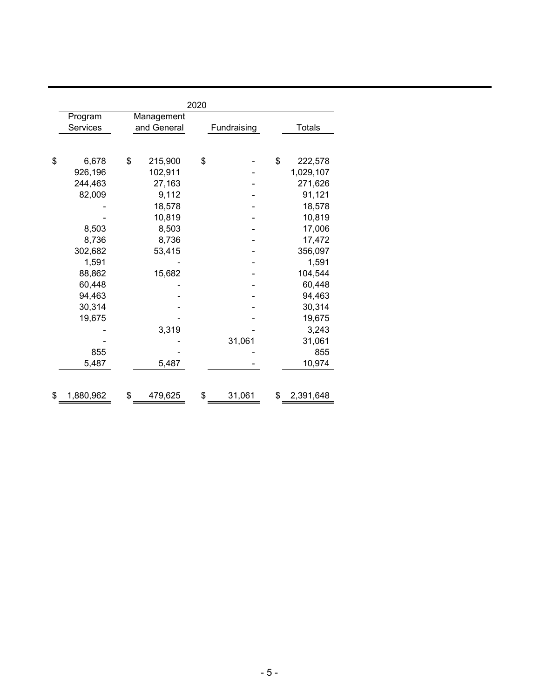| 2020            |    |             |    |             |    |               |  |  |  |
|-----------------|----|-------------|----|-------------|----|---------------|--|--|--|
| Program         |    | Management  |    |             |    |               |  |  |  |
| Services        |    | and General |    | Fundraising |    | <b>Totals</b> |  |  |  |
|                 |    |             |    |             |    |               |  |  |  |
|                 |    |             |    |             |    |               |  |  |  |
| \$<br>6,678     | \$ | 215,900     | \$ |             | \$ | 222,578       |  |  |  |
| 926,196         |    | 102,911     |    |             |    | 1,029,107     |  |  |  |
| 244,463         |    | 27,163      |    |             |    | 271,626       |  |  |  |
| 82,009          |    | 9,112       |    |             |    | 91,121        |  |  |  |
|                 |    | 18,578      |    |             |    | 18,578        |  |  |  |
|                 |    | 10,819      |    |             |    | 10,819        |  |  |  |
| 8,503           |    | 8,503       |    |             |    | 17,006        |  |  |  |
| 8,736           |    | 8,736       |    |             |    | 17,472        |  |  |  |
| 302,682         |    | 53,415      |    |             |    | 356,097       |  |  |  |
| 1,591           |    |             |    |             |    | 1,591         |  |  |  |
| 88,862          |    | 15,682      |    |             |    | 104,544       |  |  |  |
| 60,448          |    |             |    |             |    | 60,448        |  |  |  |
| 94,463          |    |             |    |             |    | 94,463        |  |  |  |
| 30,314          |    |             |    |             |    | 30,314        |  |  |  |
| 19,675          |    |             |    |             |    | 19,675        |  |  |  |
|                 |    | 3,319       |    |             |    | 3,243         |  |  |  |
|                 |    |             |    | 31,061      |    | 31,061        |  |  |  |
| 855             |    |             |    |             |    | 855           |  |  |  |
| 5,487           |    | 5,487       |    |             |    | 10,974        |  |  |  |
|                 |    |             |    |             |    |               |  |  |  |
|                 |    |             |    |             |    |               |  |  |  |
| \$<br>1,880,962 | \$ | 479,625     | \$ | 31,061      | \$ | 2,391,648     |  |  |  |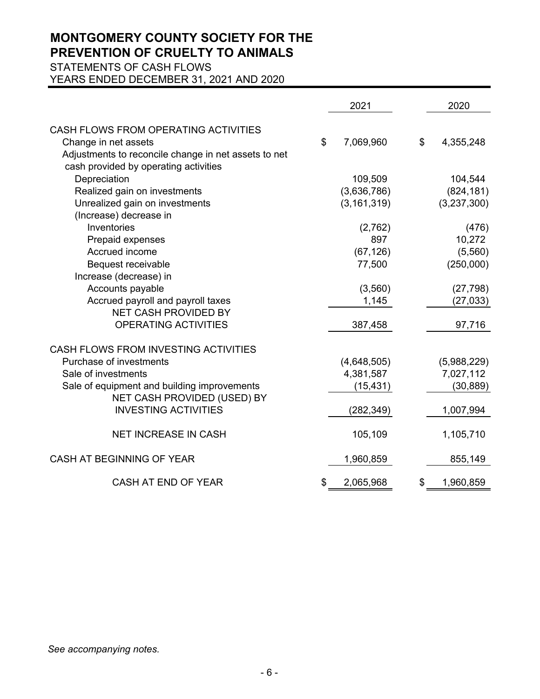STATEMENTS OF CASH FLOWS

YEARS ENDED DECEMBER 31, 2021 AND 2020

|                                                      | 2021            | 2020            |
|------------------------------------------------------|-----------------|-----------------|
| CASH FLOWS FROM OPERATING ACTIVITIES                 |                 |                 |
| Change in net assets                                 | \$<br>7,069,960 | \$<br>4,355,248 |
| Adjustments to reconcile change in net assets to net |                 |                 |
| cash provided by operating activities                |                 |                 |
| Depreciation                                         | 109,509         | 104,544         |
|                                                      | (3,636,786)     | (824, 181)      |
| Realized gain on investments                         |                 |                 |
| Unrealized gain on investments                       | (3, 161, 319)   | (3,237,300)     |
| (Increase) decrease in                               |                 |                 |
| Inventories                                          | (2,762)         | (476)           |
| Prepaid expenses                                     | 897             | 10,272          |
| Accrued income                                       | (67, 126)       | (5,560)         |
| Bequest receivable                                   | 77,500          | (250,000)       |
| Increase (decrease) in                               |                 |                 |
| Accounts payable                                     | (3,560)         | (27, 798)       |
| Accrued payroll and payroll taxes                    | 1,145           | (27, 033)       |
| <b>NET CASH PROVIDED BY</b>                          |                 |                 |
| OPERATING ACTIVITIES                                 | 387,458         | 97,716          |
| CASH FLOWS FROM INVESTING ACTIVITIES                 |                 |                 |
| Purchase of investments                              | (4,648,505)     | (5,988,229)     |
| Sale of investments                                  | 4,381,587       | 7,027,112       |
| Sale of equipment and building improvements          | (15, 431)       | (30, 889)       |
| NET CASH PROVIDED (USED) BY                          |                 |                 |
| <b>INVESTING ACTIVITIES</b>                          | (282, 349)      | 1,007,994       |
|                                                      |                 |                 |
| <b>NET INCREASE IN CASH</b>                          | 105,109         | 1,105,710       |
| CASH AT BEGINNING OF YEAR                            |                 |                 |
|                                                      | 1,960,859       | 855,149         |
| CASH AT END OF YEAR                                  | \$<br>2,065,968 | \$<br>1,960,859 |

*See accompanying notes.*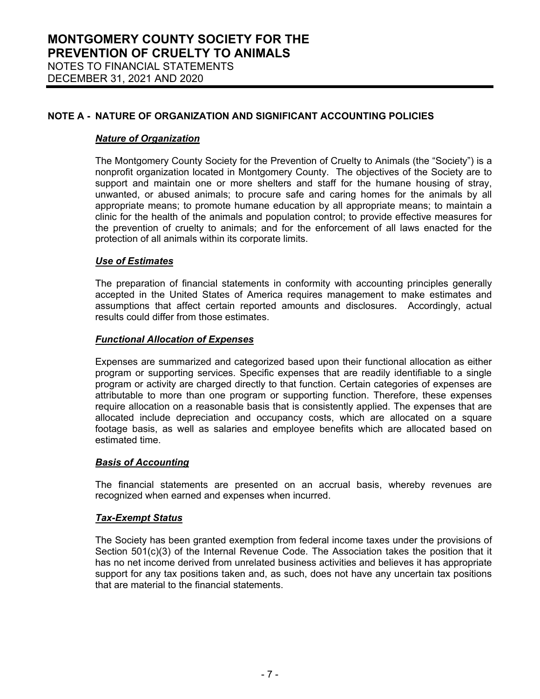### *Nature of Organization*

The Montgomery County Society for the Prevention of Cruelty to Animals (the "Society") is a nonprofit organization located in Montgomery County. The objectives of the Society are to support and maintain one or more shelters and staff for the humane housing of stray, unwanted, or abused animals; to procure safe and caring homes for the animals by all appropriate means; to promote humane education by all appropriate means; to maintain a clinic for the health of the animals and population control; to provide effective measures for the prevention of cruelty to animals; and for the enforcement of all laws enacted for the protection of all animals within its corporate limits.

## *Use of Estimates*

The preparation of financial statements in conformity with accounting principles generally accepted in the United States of America requires management to make estimates and assumptions that affect certain reported amounts and disclosures. Accordingly, actual results could differ from those estimates.

## *Functional Allocation of Expenses*

Expenses are summarized and categorized based upon their functional allocation as either program or supporting services. Specific expenses that are readily identifiable to a single program or activity are charged directly to that function. Certain categories of expenses are attributable to more than one program or supporting function. Therefore, these expenses require allocation on a reasonable basis that is consistently applied. The expenses that are allocated include depreciation and occupancy costs, which are allocated on a square footage basis, as well as salaries and employee benefits which are allocated based on estimated time.

### *Basis of Accounting*

The financial statements are presented on an accrual basis, whereby revenues are recognized when earned and expenses when incurred.

### *Tax-Exempt Status*

The Society has been granted exemption from federal income taxes under the provisions of Section 501(c)(3) of the Internal Revenue Code. The Association takes the position that it has no net income derived from unrelated business activities and believes it has appropriate support for any tax positions taken and, as such, does not have any uncertain tax positions that are material to the financial statements.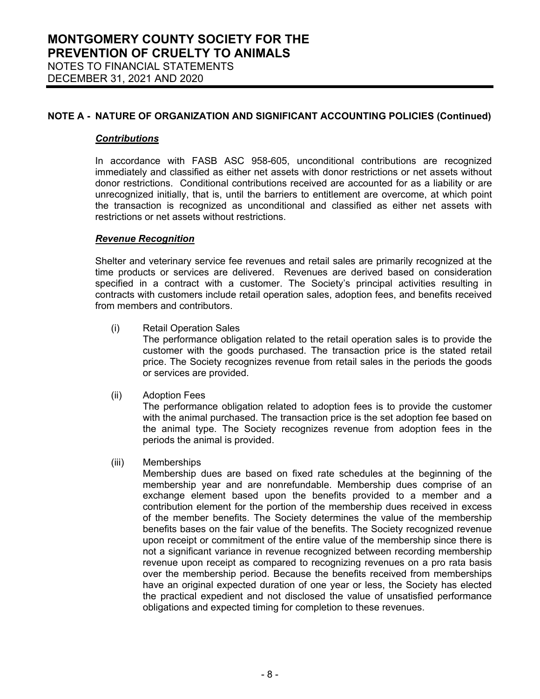#### *Contributions*

In accordance with FASB ASC 958-605, unconditional contributions are recognized immediately and classified as either net assets with donor restrictions or net assets without donor restrictions. Conditional contributions received are accounted for as a liability or are unrecognized initially, that is, until the barriers to entitlement are overcome, at which point the transaction is recognized as unconditional and classified as either net assets with restrictions or net assets without restrictions.

#### *Revenue Recognition*

Shelter and veterinary service fee revenues and retail sales are primarily recognized at the time products or services are delivered. Revenues are derived based on consideration specified in a contract with a customer. The Society's principal activities resulting in contracts with customers include retail operation sales, adoption fees, and benefits received from members and contributors.

(i) Retail Operation Sales

The performance obligation related to the retail operation sales is to provide the customer with the goods purchased. The transaction price is the stated retail price. The Society recognizes revenue from retail sales in the periods the goods or services are provided.

(ii) Adoption Fees

The performance obligation related to adoption fees is to provide the customer with the animal purchased. The transaction price is the set adoption fee based on the animal type. The Society recognizes revenue from adoption fees in the periods the animal is provided.

(iii) Memberships

Membership dues are based on fixed rate schedules at the beginning of the membership year and are nonrefundable. Membership dues comprise of an exchange element based upon the benefits provided to a member and a contribution element for the portion of the membership dues received in excess of the member benefits. The Society determines the value of the membership benefits bases on the fair value of the benefits. The Society recognized revenue upon receipt or commitment of the entire value of the membership since there is not a significant variance in revenue recognized between recording membership revenue upon receipt as compared to recognizing revenues on a pro rata basis over the membership period. Because the benefits received from memberships have an original expected duration of one year or less, the Society has elected the practical expedient and not disclosed the value of unsatisfied performance obligations and expected timing for completion to these revenues.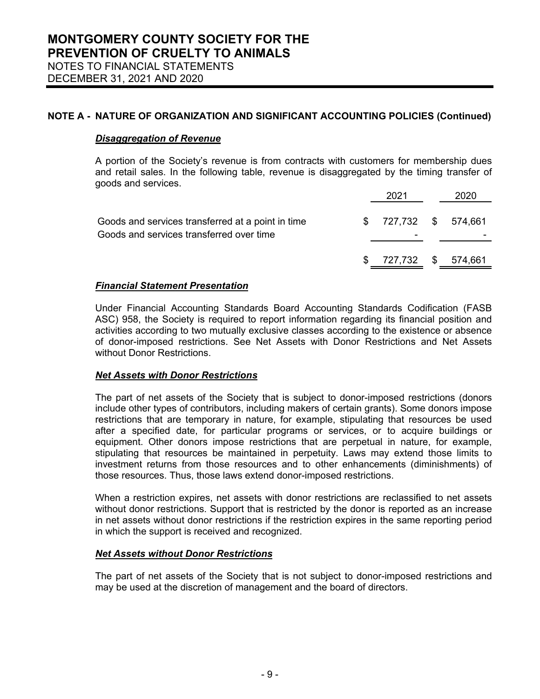## *Disaggregation of Revenue*

A portion of the Society's revenue is from contracts with customers for membership dues and retail sales. In the following table, revenue is disaggregated by the timing transfer of goods and services.

|                                                                                               | \$ 727,732 \$ 574,661      |      |
|-----------------------------------------------------------------------------------------------|----------------------------|------|
| Goods and services transferred at a point in time<br>Goods and services transferred over time | $$727,732$ $$574,661$<br>۰ |      |
|                                                                                               |                            | 2020 |

## *Financial Statement Presentation*

Under Financial Accounting Standards Board Accounting Standards Codification (FASB ASC) 958, the Society is required to report information regarding its financial position and activities according to two mutually exclusive classes according to the existence or absence of donor-imposed restrictions. See Net Assets with Donor Restrictions and Net Assets without Donor Restrictions.

### *Net Assets with Donor Restrictions*

The part of net assets of the Society that is subject to donor-imposed restrictions (donors include other types of contributors, including makers of certain grants). Some donors impose restrictions that are temporary in nature, for example, stipulating that resources be used after a specified date, for particular programs or services, or to acquire buildings or equipment. Other donors impose restrictions that are perpetual in nature, for example, stipulating that resources be maintained in perpetuity. Laws may extend those limits to investment returns from those resources and to other enhancements (diminishments) of those resources. Thus, those laws extend donor-imposed restrictions.

When a restriction expires, net assets with donor restrictions are reclassified to net assets without donor restrictions. Support that is restricted by the donor is reported as an increase in net assets without donor restrictions if the restriction expires in the same reporting period in which the support is received and recognized.

### *Net Assets without Donor Restrictions*

The part of net assets of the Society that is not subject to donor-imposed restrictions and may be used at the discretion of management and the board of directors.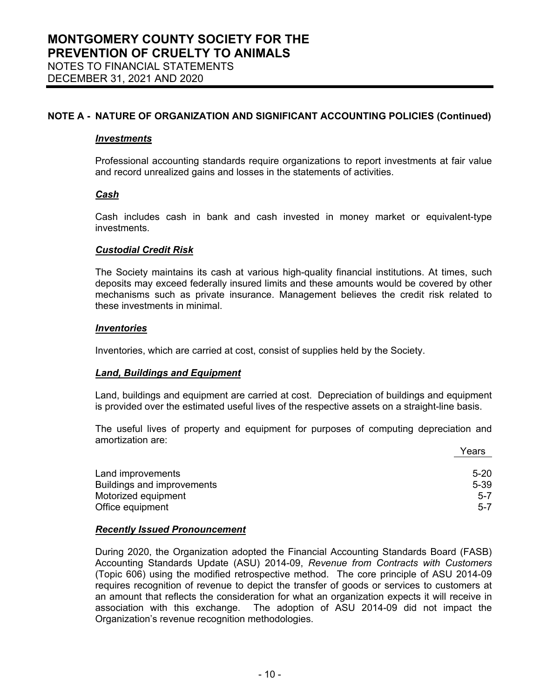#### *Investments*

Professional accounting standards require organizations to report investments at fair value and record unrealized gains and losses in the statements of activities.

#### *Cash*

Cash includes cash in bank and cash invested in money market or equivalent-type investments.

#### *Custodial Credit Risk*

The Society maintains its cash at various high-quality financial institutions. At times, such deposits may exceed federally insured limits and these amounts would be covered by other mechanisms such as private insurance. Management believes the credit risk related to these investments in minimal.

#### *Inventories*

Inventories, which are carried at cost, consist of supplies held by the Society.

#### *Land, Buildings and Equipment*

Land, buildings and equipment are carried at cost. Depreciation of buildings and equipment is provided over the estimated useful lives of the respective assets on a straight-line basis.

The useful lives of property and equipment for purposes of computing depreciation and amortization are:

|                                   | Years    |
|-----------------------------------|----------|
| Land improvements                 | $5-20$   |
| <b>Buildings and improvements</b> | $5 - 39$ |
| Motorized equipment               | $5 - 7$  |
| Office equipment                  | $5 - 7$  |

#### *Recently Issued Pronouncement*

During 2020, the Organization adopted the Financial Accounting Standards Board (FASB) Accounting Standards Update (ASU) 2014-09, *Revenue from Contracts with Customers*  (Topic 606) using the modified retrospective method. The core principle of ASU 2014-09 requires recognition of revenue to depict the transfer of goods or services to customers at an amount that reflects the consideration for what an organization expects it will receive in association with this exchange. The adoption of ASU 2014-09 did not impact the Organization's revenue recognition methodologies.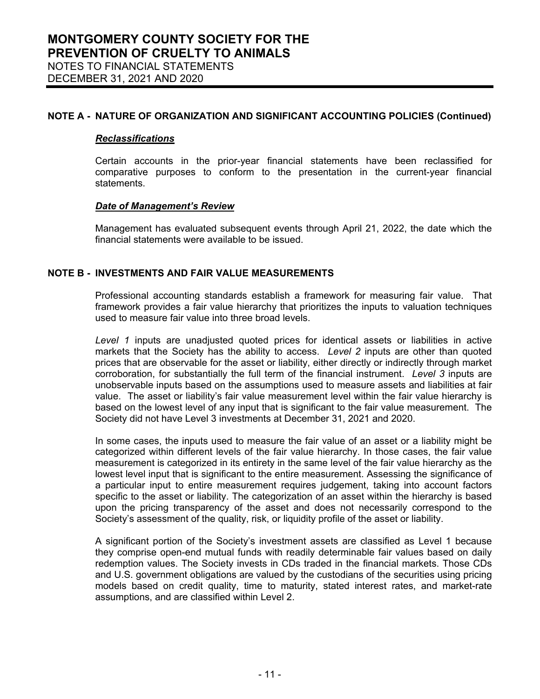#### *Reclassifications*

Certain accounts in the prior-year financial statements have been reclassified for comparative purposes to conform to the presentation in the current-year financial statements.

### *Date of Management's Review*

Management has evaluated subsequent events through April 21, 2022, the date which the financial statements were available to be issued.

## **NOTE B - INVESTMENTS AND FAIR VALUE MEASUREMENTS**

Professional accounting standards establish a framework for measuring fair value. That framework provides a fair value hierarchy that prioritizes the inputs to valuation techniques used to measure fair value into three broad levels.

*Level 1* inputs are unadjusted quoted prices for identical assets or liabilities in active markets that the Society has the ability to access. *Level 2* inputs are other than quoted prices that are observable for the asset or liability, either directly or indirectly through market corroboration, for substantially the full term of the financial instrument. *Level 3* inputs are unobservable inputs based on the assumptions used to measure assets and liabilities at fair value. The asset or liability's fair value measurement level within the fair value hierarchy is based on the lowest level of any input that is significant to the fair value measurement. The Society did not have Level 3 investments at December 31, 2021 and 2020.

In some cases, the inputs used to measure the fair value of an asset or a liability might be categorized within different levels of the fair value hierarchy. In those cases, the fair value measurement is categorized in its entirety in the same level of the fair value hierarchy as the lowest level input that is significant to the entire measurement. Assessing the significance of a particular input to entire measurement requires judgement, taking into account factors specific to the asset or liability. The categorization of an asset within the hierarchy is based upon the pricing transparency of the asset and does not necessarily correspond to the Society's assessment of the quality, risk, or liquidity profile of the asset or liability.

A significant portion of the Society's investment assets are classified as Level 1 because they comprise open-end mutual funds with readily determinable fair values based on daily redemption values. The Society invests in CDs traded in the financial markets. Those CDs and U.S. government obligations are valued by the custodians of the securities using pricing models based on credit quality, time to maturity, stated interest rates, and market-rate assumptions, and are classified within Level 2.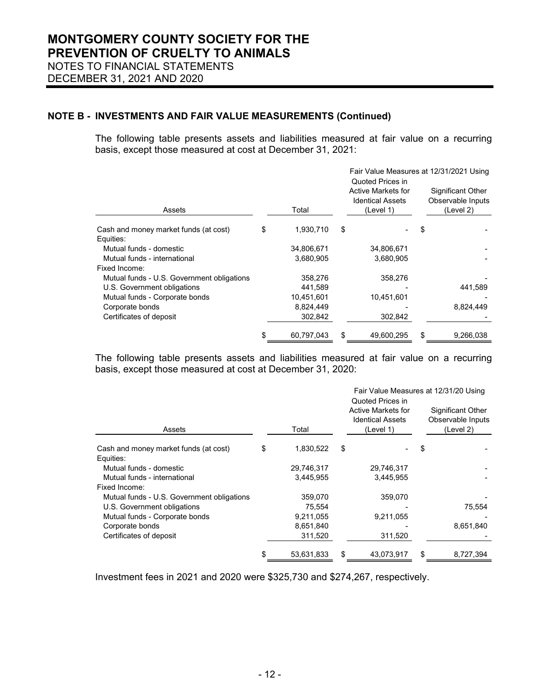## **NOTE B - INVESTMENTS AND FAIR VALUE MEASUREMENTS (Continued)**

The following table presents assets and liabilities measured at fair value on a recurring basis, except those measured at cost at December 31, 2021:

|                                                    |    |            | Fair Value Measures at 12/31/2021 Using<br>Quoted Prices in |                                                                   |    |                                                     |  |  |
|----------------------------------------------------|----|------------|-------------------------------------------------------------|-------------------------------------------------------------------|----|-----------------------------------------------------|--|--|
| Assets                                             |    | Total      |                                                             | <b>Active Markets for</b><br><b>Identical Assets</b><br>(Level 1) |    | Significant Other<br>Observable Inputs<br>(Level 2) |  |  |
| Cash and money market funds (at cost)<br>Equities: | \$ | 1,930,710  | \$                                                          |                                                                   | \$ |                                                     |  |  |
| Mutual funds - domestic                            |    | 34,806,671 |                                                             | 34,806,671                                                        |    |                                                     |  |  |
| Mutual funds - international                       |    | 3,680,905  |                                                             | 3,680,905                                                         |    |                                                     |  |  |
| Fixed Income:                                      |    |            |                                                             |                                                                   |    |                                                     |  |  |
| Mutual funds - U.S. Government obligations         |    | 358,276    |                                                             | 358,276                                                           |    |                                                     |  |  |
| U.S. Government obligations                        |    | 441,589    |                                                             |                                                                   |    | 441,589                                             |  |  |
| Mutual funds - Corporate bonds                     |    | 10,451,601 |                                                             | 10,451,601                                                        |    |                                                     |  |  |
| Corporate bonds                                    |    | 8,824,449  |                                                             |                                                                   |    | 8,824,449                                           |  |  |
| Certificates of deposit                            |    | 302,842    |                                                             | 302,842                                                           |    |                                                     |  |  |
|                                                    | S  | 60,797,043 | \$                                                          | 49,600,295                                                        | \$ | 9,266,038                                           |  |  |

The following table presents assets and liabilities measured at fair value on a recurring basis, except those measured at cost at December 31, 2020:

|                                                    |    |            |    | Fair Value Measures at 12/31/20 Using                                          |    |                                                            |  |
|----------------------------------------------------|----|------------|----|--------------------------------------------------------------------------------|----|------------------------------------------------------------|--|
| Assets                                             |    | Total      |    | Quoted Prices in<br>Active Markets for<br><b>Identical Assets</b><br>(Level 1) |    | <b>Significant Other</b><br>Observable Inputs<br>(Level 2) |  |
| Cash and money market funds (at cost)<br>Equities: | \$ | 1,830,522  | \$ |                                                                                | \$ |                                                            |  |
| Mutual funds - domestic                            |    | 29,746,317 |    | 29,746,317                                                                     |    |                                                            |  |
| Mutual funds - international                       |    | 3,445,955  |    | 3,445,955                                                                      |    |                                                            |  |
| Fixed Income:                                      |    |            |    |                                                                                |    |                                                            |  |
| Mutual funds - U.S. Government obligations         |    | 359,070    |    | 359,070                                                                        |    |                                                            |  |
| U.S. Government obligations                        |    | 75,554     |    |                                                                                |    | 75,554                                                     |  |
| Mutual funds - Corporate bonds                     |    | 9,211,055  |    | 9,211,055                                                                      |    |                                                            |  |
| Corporate bonds                                    |    | 8,651,840  |    |                                                                                |    | 8,651,840                                                  |  |
| Certificates of deposit                            |    | 311,520    |    | 311,520                                                                        |    |                                                            |  |
|                                                    | S  | 53,631,833 | \$ | 43,073,917                                                                     | \$ | 8,727,394                                                  |  |

Investment fees in 2021 and 2020 were \$325,730 and \$274,267, respectively.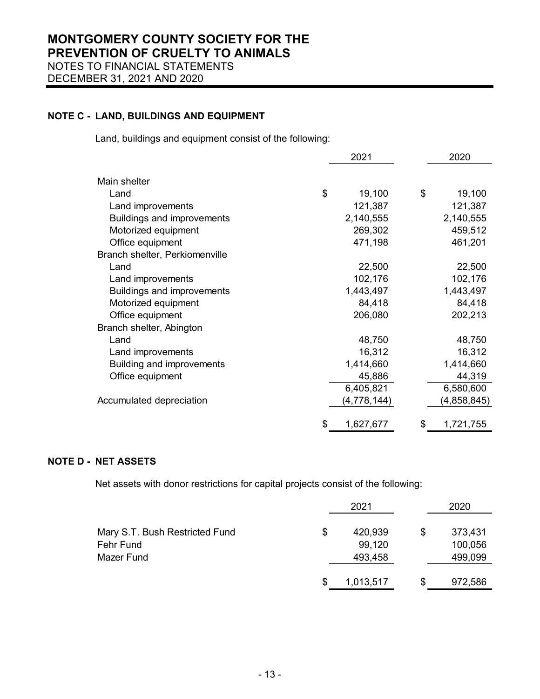## **NOTE C - LAND, BUILDINGS AND EQUIPMENT**

Land, buildings and equipment consist of the following:

|                                   | 2021 |             | 2020            |
|-----------------------------------|------|-------------|-----------------|
|                                   |      |             |                 |
| Main shelter                      |      |             |                 |
| Land                              | \$   | 19,100      | \$<br>19,100    |
| Land improvements                 |      | 121,387     | 121,387         |
| <b>Buildings and improvements</b> |      | 2,140,555   | 2,140,555       |
| Motorized equipment               |      | 269,302     | 459,512         |
| Office equipment                  |      | 471,198     | 461,201         |
| Branch shelter, Perkiomenville    |      |             |                 |
| Land                              |      | 22,500      | 22,500          |
| Land improvements                 |      | 102,176     | 102,176         |
| <b>Buildings and improvements</b> |      | 1,443,497   | 1,443,497       |
| Motorized equipment               |      | 84,418      | 84,418          |
| Office equipment                  |      | 206,080     | 202,213         |
| Branch shelter, Abington          |      |             |                 |
| Land                              |      | 48,750      | 48,750          |
| Land improvements                 |      | 16,312      | 16,312          |
| <b>Building and improvements</b>  |      | 1,414,660   | 1,414,660       |
| Office equipment                  |      | 45,886      | 44,319          |
|                                   |      | 6,405,821   | 6,580,600       |
| Accumulated depreciation          |      | (4,778,144) | (4,858,845)     |
|                                   |      |             |                 |
|                                   | \$   | 1,627,677   | \$<br>1,721,755 |

## **NOTE D - NET ASSETS**

Net assets with donor restrictions for capital projects consist of the following:

|                                |   | 2021      | 2020          |
|--------------------------------|---|-----------|---------------|
| Mary S.T. Bush Restricted Fund | S | 420,939   | \$<br>373,431 |
| Fehr Fund                      |   | 99,120    | 100,056       |
| Mazer Fund                     |   | 493,458   | 499,099       |
|                                | S | 1,013,517 | \$<br>972,586 |